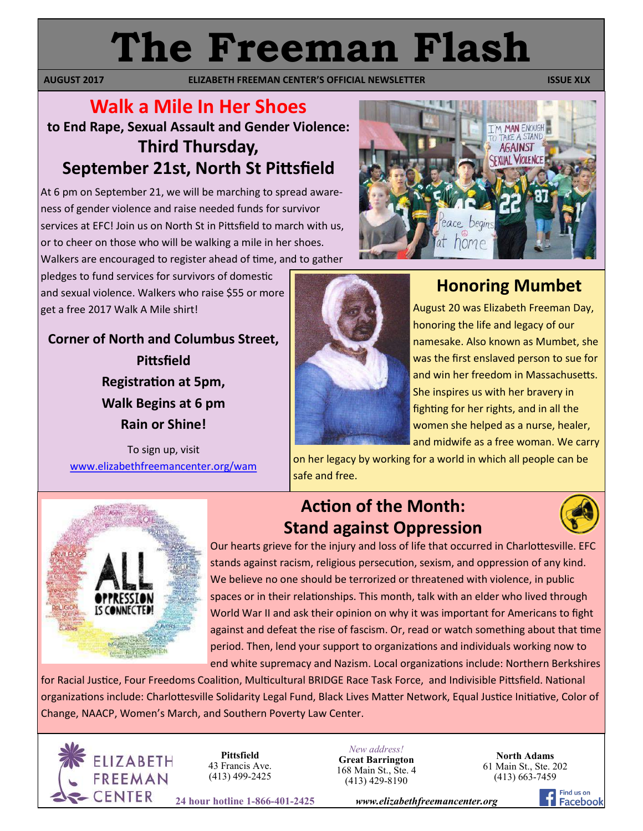# **The Freeman Flash**

**AUGUST 2017 ELIZABETH FREEMAN CENTER'S OFFICIAL NEWSLETTER ISSUE XLX** 

### **Walk a Mile In Her Shoes to End Rape, Sexual Assault and Gender Violence: Third Thursday, September 21st, North St Pittsfield**

At 6 pm on September 21, we will be marching to spread awareness of gender violence and raise needed funds for survivor services at EFC! Join us on North St in Pittsfield to march with us, or to cheer on those who will be walking a mile in her shoes. Walkers are encouraged to register ahead of time, and to gather

pledges to fund services for survivors of domestic and sexual violence. Walkers who raise \$55 or more get a free 2017 Walk A Mile shirt!

**Corner of North and Columbus Street, Pittsfield Registration at 5pm, Walk Begins at 6 pm Rain or Shine!**

To sign up, visit [www.elizabethfreemancenter.org/wam](http://www.elizabethfreemancenter.org/wam)



# **Honoring Mumbet**

**T'M MAN ENOUG TAKE A STAND** AGAINST **EXUAL VIOLENC** 

August 20 was Elizabeth Freeman Day, honoring the life and legacy of our namesake. Also known as Mumbet, she was the first enslaved person to sue for and win her freedom in Massachusetts. She inspires us with her bravery in fighting for her rights, and in all the women she helped as a nurse, healer, and midwife as a free woman. We carry

on her legacy by working for a world in which all people can be safe and free.



# **Action of the Month: Stand against Oppression**



Our hearts grieve for the injury and loss of life that occurred in Charlottesville. EFC stands against racism, religious persecution, sexism, and oppression of any kind. We believe no one should be terrorized or threatened with violence, in public spaces or in their relationships. This month, talk with an elder who lived through World War II and ask their opinion on why it was important for Americans to fight against and defeat the rise of fascism. Or, read or watch something about that time period. Then, lend your support to organizations and individuals working now to end white supremacy and Nazism. Local organizations include: Northern Berkshires

for Racial Justice, Four Freedoms Coalition, Multicultural BRIDGE Race Task Force, and Indivisible Pittsfield. National organizations include: Charlottesville Solidarity Legal Fund, Black Lives Matter Network, Equal Justice Initiative, Color of Change, NAACP, Women's March, and Southern Poverty Law Center.



**Pittsfield** 43 Francis Ave. (413) 499-2425

*New address!* **Great Barrington** 168 Main St., Ste. 4 (413) 429-8190

**North Adams** 61 Main St., Ste. 202 (413) 663-7459

**24 hour hotline 1-866-401-2425** *www.elizabethfreemancenter.org*